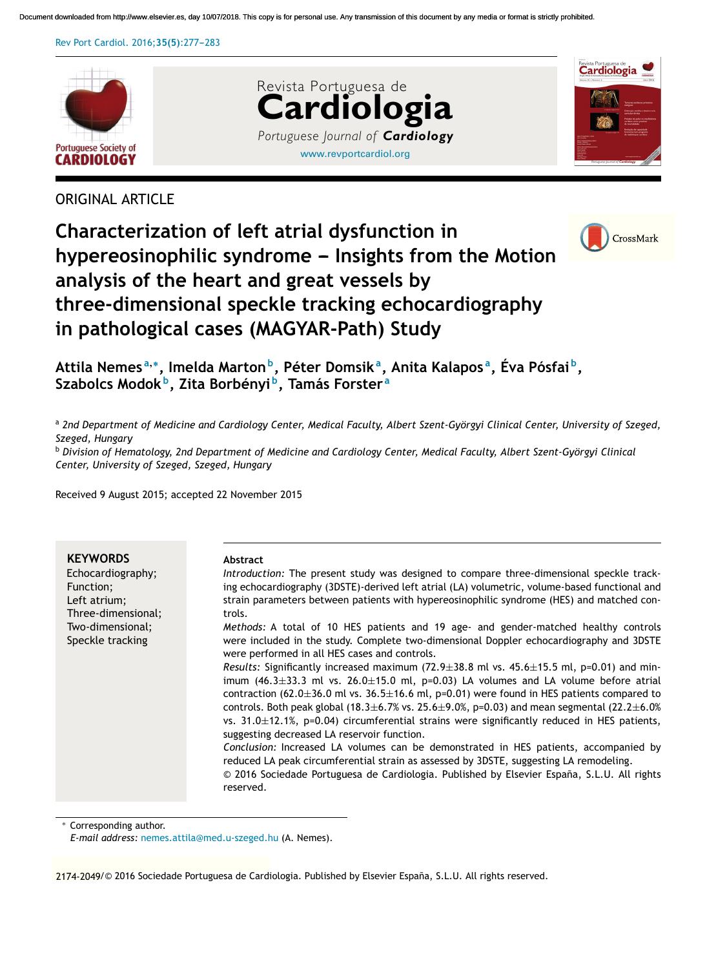Rev Port Cardiol. 2016:35(5):277-283



CrossMark

# ORIGINAL ARTICLE





<sup>a</sup> 2nd Department of Medicine and Cardiology Center, Medical Faculty, Albert Szent-Györgyi Clinical Center, University of Szeged, *Szeged, Hungary*

<sup>b</sup> Division of Hematology, 2nd Department of Medicine and Cardiology Center, Medical Faculty, Albert Szent-Györgyi Clinical *Center, University of Szeged, Szeged, Hungary*

Received 9 August 2015; accepted 22 November 2015

| <b>KEYWORDS</b>    | <b>Abstract</b>                                                                                                                                                                                                                                                                                                                                                                                                                                                                                                                                                                                                                                                                                                                                                                                                                                                     |
|--------------------|---------------------------------------------------------------------------------------------------------------------------------------------------------------------------------------------------------------------------------------------------------------------------------------------------------------------------------------------------------------------------------------------------------------------------------------------------------------------------------------------------------------------------------------------------------------------------------------------------------------------------------------------------------------------------------------------------------------------------------------------------------------------------------------------------------------------------------------------------------------------|
| Echocardiography;  | Introduction: The present study was designed to compare three-dimensional speckle track-                                                                                                                                                                                                                                                                                                                                                                                                                                                                                                                                                                                                                                                                                                                                                                            |
| Function;          | ing echocardiography (3DSTE)-derived left atrial (LA) volumetric, volume-based functional and                                                                                                                                                                                                                                                                                                                                                                                                                                                                                                                                                                                                                                                                                                                                                                       |
| Left atrium;       | strain parameters between patients with hypereosinophilic syndrome (HES) and matched con-                                                                                                                                                                                                                                                                                                                                                                                                                                                                                                                                                                                                                                                                                                                                                                           |
| Three-dimensional; | trols.                                                                                                                                                                                                                                                                                                                                                                                                                                                                                                                                                                                                                                                                                                                                                                                                                                                              |
| Two-dimensional;   | Methods: A total of 10 HES patients and 19 age- and gender-matched healthy controls                                                                                                                                                                                                                                                                                                                                                                                                                                                                                                                                                                                                                                                                                                                                                                                 |
| Speckle tracking   | were included in the study. Complete two-dimensional Doppler echocardiography and 3DSTE<br>were performed in all HES cases and controls.                                                                                                                                                                                                                                                                                                                                                                                                                                                                                                                                                                                                                                                                                                                            |
|                    | Results: Significantly increased maximum (72.9 $\pm$ 38.8 ml vs. 45.6 $\pm$ 15.5 ml, p=0.01) and min-<br>imum $(46.3 \pm 33.3$ ml vs. $26.0 \pm 15.0$ ml, p=0.03) LA volumes and LA volume before atrial<br>contraction (62.0 $\pm$ 36.0 ml vs. 36.5 $\pm$ 16.6 ml, p=0.01) were found in HES patients compared to<br>controls. Both peak global (18.3±6.7% vs. 25.6±9.0%, p=0.03) and mean segmental (22.2±6.0%<br>vs. $31.0 \pm 12.1$ %, p=0.04) circumferential strains were significantly reduced in HES patients,<br>suggesting decreased LA reservoir function.<br>Conclusion: Increased LA volumes can be demonstrated in HES patients, accompanied by<br>reduced LA peak circumferential strain as assessed by 3DSTE, suggesting LA remodeling.<br>© 2016 Sociedade Portuguesa de Cardiologia. Published by Elsevier España, S.L.U. All rights<br>reserved. |

Corresponding author.

*E-mail address:* nemes.attila@med.u-szeged.hu (A. Nemes).

<sup>0870-2551/©</sup> 2174-2049 2016 Sociedade Portuguesa de Cardiologia. Published by Elsevier España, S.L.U. All rights reserved.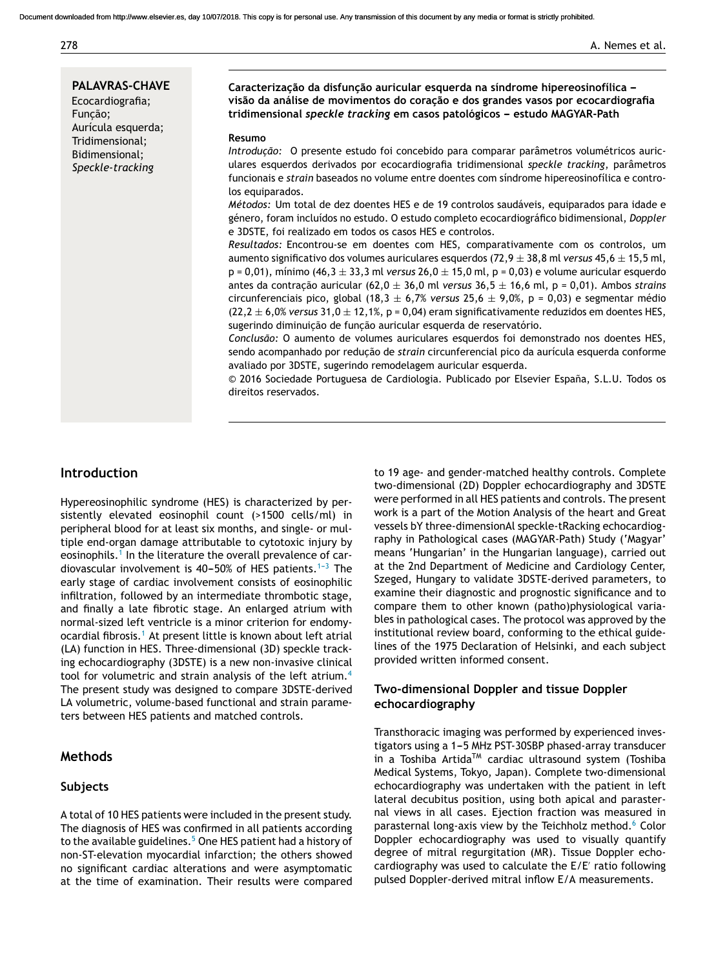#### 278 **A. Nemes et al.**

**PALAVRAS-CHAVE** Ecocardiografia; Função; Aurícula esquerda; Tridimensional; Bidimensional; *Speckle-tracking*

**Caracterizac¸ão da disfunc¸ão auricular esquerda na síndrome hipereosinofílica -- visão da análise de movimentos do corac¸ão e dos grandes vasos por ecocardiografia tridimensional** *speckle tracking* **em casos patológicos --- estudo MAGYAR-Path**

#### **Resumo**

*Introdução:* O presente estudo foi concebido para comparar parâmetros volumétricos auriculares esquerdos derivados por ecocardiografia tridimensional *speckle tracking*, parâmetros funcionais e *strain* baseados no volume entre doentes com síndrome hipereosinofílica e controlos equiparados.

*Métodos:* Um total de dez doentes HES e de 19 controlos saudáveis, equiparados para idade e género, foram incluídos no estudo. O estudo completo ecocardiográfico bidimensional, *Doppler* e 3DSTE, foi realizado em todos os casos HES e controlos.

*Resultados:* Encontrou-se em doentes com HES, comparativamente com os controlos, um aumento significativo dos volumes auriculares esquerdos (72,9 ± 38,8 ml *versus* 45,6 ± 15,5 ml, p = 0,01), mínimo (46,3 ± 33,3 ml *versus* 26,0 ± 15,0 ml, p = 0,03) e volume auricular esquerdo antes da contrac¸ão auricular (62,0 ± 36,0 ml *versus* 36,5 ± 16,6 ml, p = 0,01). Ambos *strains* circunferenciais pico, global (18,3 ± 6,7% *versus* 25,6 ± 9,0%, p = 0,03) e segmentar médio  $(22,2 \pm 6,0\%)$  *versus* 31,0  $\pm$  12,1%, p = 0,04) eram significativamente reduzidos em doentes HES, sugerindo diminuição de função auricular esquerda de reservatório.

*Conclusão:* O aumento de volumes auriculares esquerdos foi demonstrado nos doentes HES, sendo acompanhado por redução de *strain* circunferencial pico da aurícula esquerda conforme avaliado por 3DSTE, sugerindo remodelagem auricular esquerda.

© 2016 Sociedade Portuguesa de Cardiologia. Publicado por Elsevier España, S.L.U. Todos os direitos reservados.

# **Introduction**

Hypereosinophilic syndrome (HES) is characterized by persistently elevated eosinophil count (>1500 cells/ml) in peripheral blood for at least six months, and single- or multiple end-organ damage attributable to cytotoxic injury by eosinophils.<sup>1</sup> In the literature the overall prevalence of cardiovascular involvement is 40-50% of HES patients.<sup>1-3</sup> The early stage of cardiac involvement consists of eosinophilic infiltration, followed by an intermediate thrombotic stage, and finally a late fibrotic stage. An enlarged atrium with normal-sized left ventricle is a minor criterion for endomyocardial fibrosis.<sup>1</sup> At present little is known about left atrial (LA) function in HES. Three-dimensional (3D) speckle tracking echocardiography (3DSTE) is a new non-invasive clinical tool for volumetric and strain analysis of the left atrium.<sup>4</sup> The present study was designed to compare 3DSTE-derived LA volumetric, volume-based functional and strain parameters between HES patients and matched controls.

## **Methods**

#### **Subjects**

A total of 10 HES patients were included in the present study. The diagnosis of HES was confirmed in all patients according to the available guidelines.<sup>5</sup> One HES patient had a history of non-ST-elevation myocardial infarction; the others showed no significant cardiac alterations and were asymptomatic at the time of examination. Their results were compared

to 19 age- and gender-matched healthy controls. Complete two-dimensional (2D) Doppler echocardiography and 3DSTE were performed in all HES patients and controls. The present work is a part of the Motion Analysis of the heart and Great vessels bY three-dimensionAl speckle-tRacking echocardiography in Pathological cases (MAGYAR-Path) Study ('Magyar' means 'Hungarian' in the Hungarian language), carried out at the 2nd Department of Medicine and Cardiology Center, Szeged, Hungary to validate 3DSTE-derived parameters, to examine their diagnostic and prognostic significance and to compare them to other known (patho)physiological variables in pathological cases. The protocol was approved by the institutional review board, conforming to the ethical guidelines of the 1975 Declaration of Helsinki, and each subject provided written informed consent.

## **Two-dimensional Doppler and tissue Doppler echocardiography**

Transthoracic imaging was performed by experienced investigators using a 1-5 MHz PST-30SBP phased-array transducer in a Toshiba Artida<sup>TM</sup> cardiac ultrasound system (Toshiba Medical Systems, Tokyo, Japan). Complete two-dimensional echocardiography was undertaken with the patient in left lateral decubitus position, using both apical and parasternal views in all cases. Ejection fraction was measured in parasternal long-axis view by the Teichholz method.<sup>6</sup> Color Doppler echocardiography was used to visually quantify degree of mitral regurgitation (MR). Tissue Doppler echocardiography was used to calculate the E/E ratio following pulsed Doppler-derived mitral inflow E/A measurements.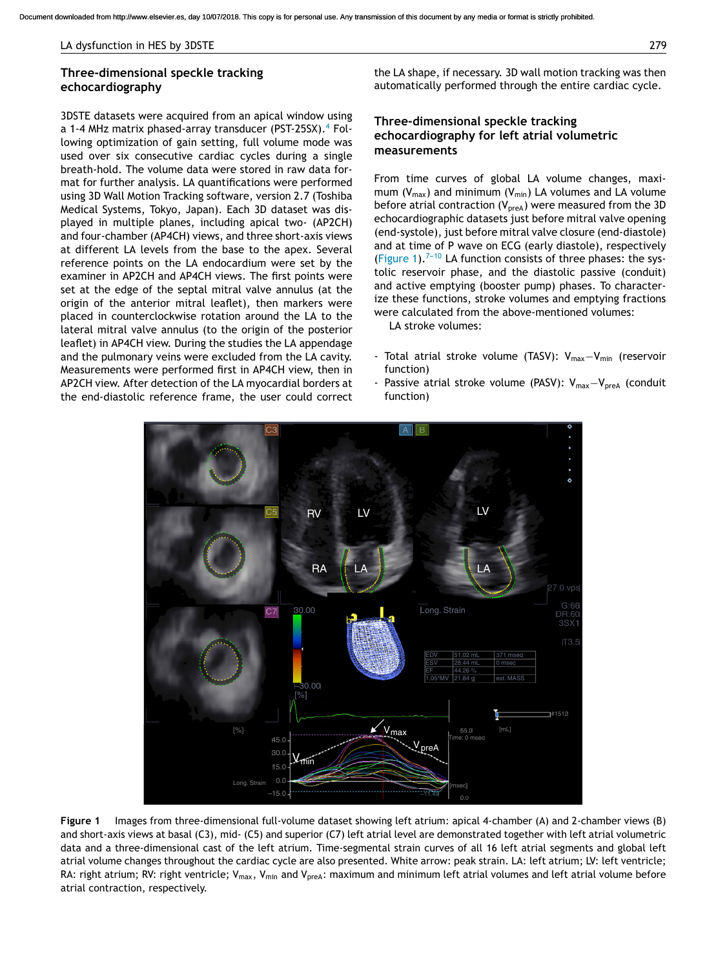#### LA dysfunction in HES by 3DSTE 279

## **Three-dimensional speckle tracking echocardiography**

3DSTE datasets were acquired from an apical window using a 1-4 MHz matrix phased-array transducer (PST-25SX). $4$  Following optimization of gain setting, full volume mode was used over six consecutive cardiac cycles during a single breath-hold. The volume data were stored in raw data format for further analysis. LA quantifications were performed using 3D Wall Motion Tracking software, version 2.7 (Toshiba Medical Systems, Tokyo, Japan). Each 3D dataset was displayed in multiple planes, including apical two- (AP2CH) and four-chamber (AP4CH) views, and three short-axis views at different LA levels from the base to the apex. Several reference points on the LA endocardium were set by the examiner in AP2CH and AP4CH views. The first points were set at the edge of the septal mitral valve annulus (at the origin of the anterior mitral leaflet), then markers were placed in counterclockwise rotation around the LA to the lateral mitral valve annulus (to the origin of the posterior leaflet) in AP4CH view. During the studies the LA appendage and the pulmonary veins were excluded from the LA cavity. Measurements were performed first in AP4CH view, then in AP2CH view. After detection of the LA myocardial borders at the end-diastolic reference frame, the user could correct

the LA shape, if necessary. 3D wall motion tracking was then automatically performed through the entire cardiac cycle.

## **Three-dimensional speckle tracking echocardiography for left atrial volumetric measurements**

From time curves of global LA volume changes, maximum ( $V_{max}$ ) and minimum ( $V_{min}$ ) LA volumes and LA volume before atrial contraction  $(V_{\text{pred}})$  were measured from the 3D echocardiographic datasets just before mitral valve opening (end-systole), just before mitral valve closure (end-diastole) and at time of P wave on ECG (early diastole), respectively (Figure 1).<sup>7-10</sup> LA function consists of three phases: the systolic reservoir phase, and the diastolic passive (conduit) and active emptying (booster pump) phases. To characterize these functions, stroke volumes and emptying fractions were calculated from the above-mentioned volumes:

LA stroke volumes:

- Total atrial stroke volume (TASV): Vmax−Vmin (reservoir function)
- Passive atrial stroke volume (PASV): Vmax−VpreA (conduit function)



**Figure 1** Images from three-dimensional full-volume dataset showing left atrium: apical 4-chamber (A) and 2-chamber views (B) and short-axis views at basal (C3), mid- (C5) and superior (C7) left atrial level are demonstrated together with left atrial volumetric data and a three-dimensional cast of the left atrium. Time-segmental strain curves of all 16 left atrial segments and global left atrial volume changes throughout the cardiac cycle are also presented. White arrow: peak strain. LA: left atrium; LV: left ventricle; RA: right atrium; RV: right ventricle;  $V_{max}$ ,  $V_{min}$  and  $V_{preA}$ : maximum and minimum left atrial volumes and left atrial volume before atrial contraction, respectively.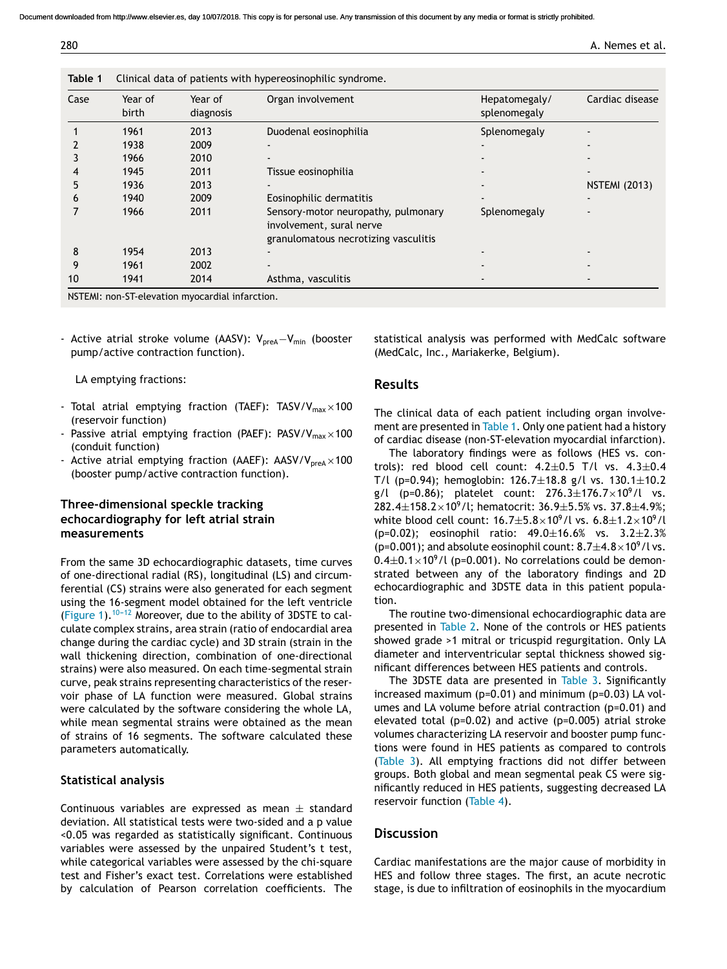Document downloaded from http://www.elsevier.es, day 10/07/2018. This copy is for personal use. Any transmission of this document by any media or format is strictly prohibited.

280 A. Nemes et al.

| Case | Year of<br>birth | Year of<br>diagnosis                            | Organ involvement                                                                                       | Hepatomegaly/<br>splenomegaly | Cardiac disease      |
|------|------------------|-------------------------------------------------|---------------------------------------------------------------------------------------------------------|-------------------------------|----------------------|
|      | 1961             | 2013                                            | Duodenal eosinophilia                                                                                   | Splenomegaly                  |                      |
|      | 1938             | 2009                                            | $\overline{\phantom{0}}$                                                                                |                               |                      |
|      | 1966             | 2010                                            | $\overline{\phantom{a}}$                                                                                |                               |                      |
|      | 1945             | 2011                                            | Tissue eosinophilia                                                                                     |                               |                      |
| 5    | 1936             | 2013                                            | $\overline{\phantom{0}}$                                                                                |                               | <b>NSTEMI (2013)</b> |
| 6    | 1940             | 2009                                            | Eosinophilic dermatitis                                                                                 |                               |                      |
|      | 1966             | 2011                                            | Sensory-motor neuropathy, pulmonary<br>involvement, sural nerve<br>granulomatous necrotizing vasculitis | Splenomegaly                  |                      |
| 8    | 1954             | 2013                                            |                                                                                                         |                               |                      |
| 9    | 1961             | 2002                                            | $\overline{\phantom{0}}$                                                                                |                               |                      |
| 10   | 1941             | 2014                                            | Asthma, vasculitis                                                                                      | $\overline{\phantom{a}}$      |                      |
|      |                  | NSTEMI: non-ST-elevation myocardial infarction. |                                                                                                         |                               |                      |

- Active atrial stroke volume (AASV): V<sub>preA</sub>−V<sub>min</sub> (booster pump/active contraction function).

**Table 1** Clinical data of patients with hypereosinophilic syndrome.

LA emptying fractions:

- Total atrial emptying fraction (TAEF): TASV/V<sub>max</sub>  $\times$  100 (reservoir function)
- Passive atrial emptying fraction (PAEF):  $PASV/V_{max} \times 100$ (conduit function)
- Active atrial emptying fraction (AAEF):  $AASV/V<sub>preA</sub> \times 100$ (booster pump/active contraction function).

## **Three-dimensional speckle tracking echocardiography for left atrial strain measurements**

From the same 3D echocardiographic datasets, time curves of one-directional radial (RS), longitudinal (LS) and circumferential (CS) strains were also generated for each segment using the 16-segment model obtained for the left ventricle (Figure 1).<sup>10-12</sup> Moreover, due to the ability of 3DSTE to calculate complex strains, area strain (ratio of endocardial area change during the cardiac cycle) and 3D strain (strain in the wall thickening direction, combination of one-directional strains) were also measured. On each time-segmental strain curve, peak strains representing characteristics of the reservoir phase of LA function were measured. Global strains were calculated by the software considering the whole LA, while mean segmental strains were obtained as the mean of strains of 16 segments. The software calculated these parameters automatically.

## **Statistical analysis**

Continuous variables are expressed as mean  $\pm$  standard deviation. All statistical tests were two-sided and a p value <0.05 was regarded as statistically significant. Continuous variables were assessed by the unpaired Student's t test, while categorical variables were assessed by the chi-square test and Fisher's exact test. Correlations were established by calculation of Pearson correlation coefficients. The statistical analysis was performed with MedCalc software (MedCalc, Inc., Mariakerke, Belgium).

## **Results**

The clinical data of each patient including organ involvement are presented in Table 1. Only one patient had a history of cardiac disease (non-ST-elevation myocardial infarction).

The laboratory findings were as follows (HES vs. controls): red blood cell count:  $4.2 \pm 0.5$  T/l vs.  $4.3 \pm 0.4$ T/l (p=0.94); hemoglobin:  $126.7 \pm 18.8$  g/l vs.  $130.1 \pm 10.2$ g/l (p=0.86); platelet count:  $276.3 \pm 176.7 \times 10^9$ /l vs. 282.4 $\pm$ 158.2 $\times$ 10<sup>9</sup>/l; hematocrit: 36.9 $\pm$ 5.5% vs. 37.8 $\pm$ 4.9%; white blood cell count:  $16.7 \pm 5.8 \times 10^9$ /l vs.  $6.8 \pm 1.2 \times 10^9$ /l (p=0.02); eosinophil ratio:  $49.0 \pm 16.6$ % vs.  $3.2 \pm 2.3$ % (p=0.001); and absolute eosinophil count:  $8.7 \pm 4.8 \times 10^9$  /l vs.  $0.4\pm0.1\times10^{9}$ /l (p=0.001). No correlations could be demonstrated between any of the laboratory findings and 2D echocardiographic and 3DSTE data in this patient population.

The routine two-dimensional echocardiographic data are presented in Table 2. None of the controls or HES patients showed grade >1 mitral or tricuspid regurgitation. Only LA diameter and interventricular septal thickness showed significant differences between HES patients and controls.

The 3DSTE data are presented in Table 3. Significantly increased maximum (p=0.01) and minimum (p=0.03) LA volumes and LA volume before atrial contraction (p=0.01) and elevated total (p=0.02) and active (p=0.005) atrial stroke volumes characterizing LA reservoir and booster pump functions were found in HES patients as compared to controls (Table 3). All emptying fractions did not differ between groups. Both global and mean segmental peak CS were significantly reduced in HES patients, suggesting decreased LA reservoir function (Table 4).

## **Discussion**

Cardiac manifestations are the major cause of morbidity in HES and follow three stages. The first, an acute necrotic stage, is due to infiltration of eosinophils in the myocardium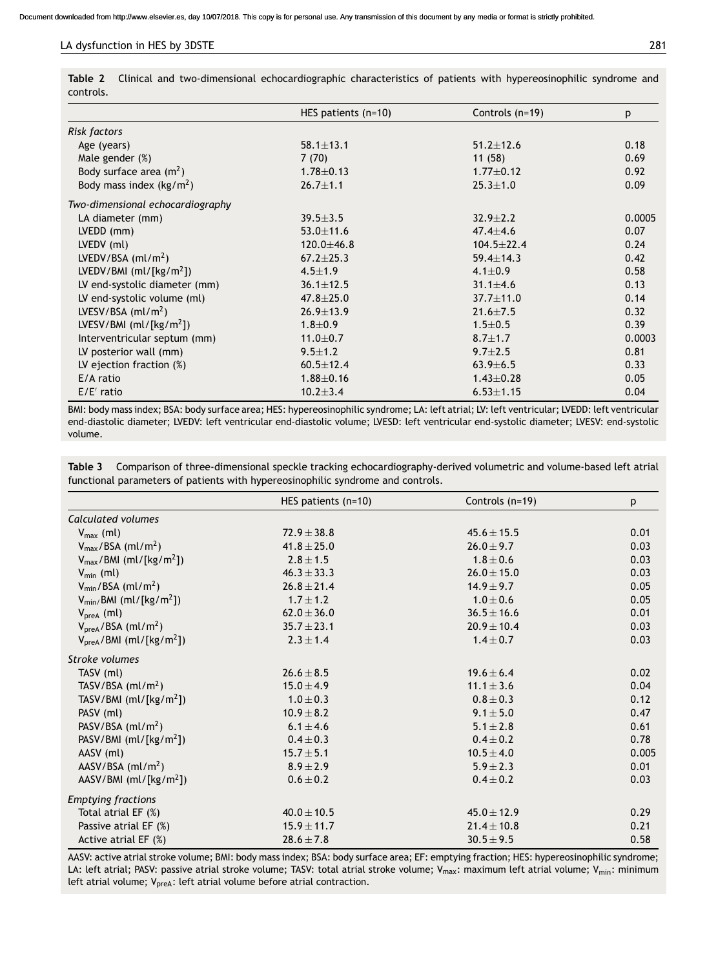#### LA dysfunction in HES by 3DSTE 281

**Table 2** Clinical and two-dimensional echocardiographic characteristics of patients with hypereosinophilic syndrome and controls.

|                                  | HES patients $(n=10)$ | Controls (n=19)  | p      |
|----------------------------------|-----------------------|------------------|--------|
| Risk factors                     |                       |                  |        |
| Age (years)                      | $58.1 \pm 13.1$       | $51.2 \pm 12.6$  | 0.18   |
| Male gender $(\%)$               | 7(70)                 | 11(58)           | 0.69   |
| Body surface area $(m^2)$        | $1.78 \pm 0.13$       | $1.77 \pm 0.12$  | 0.92   |
| Body mass index $(kg/m2)$        | $26.7 \pm 1.1$        | $25.3 \pm 1.0$   | 0.09   |
| Two-dimensional echocardiography |                       |                  |        |
| LA diameter (mm)                 | $39.5 \pm 3.5$        | $32.9 \pm 2.2$   | 0.0005 |
| $LVEDD$ (mm)                     | $53.0 \pm 11.6$       | $47.4 \pm 4.6$   | 0.07   |
| LVEDV (ml)                       | $120.0 + 46.8$        | $104.5 \pm 22.4$ | 0.24   |
| LVEDV/BSA $(ml/m2)$              | $67.2 \pm 25.3$       | $59.4 \pm 14.3$  | 0.42   |
| LVEDV/BMI $(m!/ [kg/m^2])$       | $4.5 \pm 1.9$         | $4.1 \pm 0.9$    | 0.58   |
| LV end-systolic diameter (mm)    | $36.1 \pm 12.5$       | $31.1 \pm 4.6$   | 0.13   |
| LV end-systolic volume (ml)      | $47.8 \pm 25.0$       | $37.7 \pm 11.0$  | 0.14   |
| LVESV/BSA $(ml/m2)$              | $26.9 \pm 13.9$       | $21.6 \pm 7.5$   | 0.32   |
| LVESV/BMI $(m!/ [kg/m^2])$       | $1.8 + 0.9$           | $1.5 \pm 0.5$    | 0.39   |
| Interventricular septum (mm)     | $11.0 \pm 0.7$        | $8.7 \pm 1.7$    | 0.0003 |
| LV posterior wall (mm)           | $9.5 \pm 1.2$         | $9.7 \pm 2.5$    | 0.81   |
| LV ejection fraction $(\%)$      | $60.5 \pm 12.4$       | $63.9 \pm 6.5$   | 0.33   |
| E/A ratio                        | $1.88 \pm 0.16$       | $1.43 \pm 0.28$  | 0.05   |
| $E/E'$ ratio                     | $10.2 \pm 3.4$        | $6.53 \pm 1.15$  | 0.04   |

BMI: body mass index; BSA: body surface area; HES: hypereosinophilic syndrome; LA: left atrial; LV: left ventricular; LVEDD: left ventricular end-diastolic diameter; LVEDV: left ventricular end-diastolic volume; LVESD: left ventricular end-systolic diameter; LVESV: end-systolic volume.

| Table 3 Comparison of three-dimensional speckle tracking echocardiography-derived volumetric and volume-based left atrial |  |
|---------------------------------------------------------------------------------------------------------------------------|--|
| functional parameters of patients with hypereosinophilic syndrome and controls.                                           |  |

|                                                 | HES patients $(n=10)$ | Controls (n=19) | р     |
|-------------------------------------------------|-----------------------|-----------------|-------|
| Calculated volumes                              |                       |                 |       |
| $V_{\text{max}}$ (ml)                           | $72.9 \pm 38.8$       | $45.6 \pm 15.5$ | 0.01  |
| $V_{max}/BSA$ (ml/m <sup>2</sup> )              | $41.8 \pm 25.0$       | $26.0 \pm 9.7$  | 0.03  |
| $V_{\text{max}}$ /BMI (ml/[kg/m <sup>2</sup> ]) | $2.8 \pm 1.5$         | $1.8 \pm 0.6$   | 0.03  |
| $V_{\text{min}}$ (ml)                           | $46.3 \pm 33.3$       | $26.0 \pm 15.0$ | 0.03  |
| $V_{\text{min}}$ /BSA (ml/m <sup>2</sup> )      | $26.8 \pm 21.4$       | $14.9 \pm 9.7$  | 0.05  |
| $V_{\text{min}}/BMI$ (ml/[kg/m <sup>2</sup> ])  | $1.7 \pm 1.2$         | $1.0 \pm 0.6$   | 0.05  |
| $VpreA$ (ml)                                    | $62.0 \pm 36.0$       | $36.5 \pm 16.6$ | 0.01  |
| $VpreA$ /BSA (ml/m <sup>2</sup> )               | $35.7 \pm 23.1$       | $20.9 \pm 10.4$ | 0.03  |
| $VpreA/BMI (ml/[kg/m2])$                        | $2.3 \pm 1.4$         | $1.4 \pm 0.7$   | 0.03  |
| Stroke volumes                                  |                       |                 |       |
| TASV (ml)                                       | $26.6 \pm 8.5$        | $19.6 \pm 6.4$  | 0.02  |
| TASV/BSA $(ml/m2)$                              | $15.0 \pm 4.9$        | $11.1 \pm 3.6$  | 0.04  |
| TASV/BMI $(m!/ [kg/m^2])$                       | $1.0 \pm 0.3$         | $0.8 \pm 0.3$   | 0.12  |
| PASV (ml)                                       | $10.9 \pm 8.2$        | $9.1 \pm 5.0$   | 0.47  |
| PASV/BSA $(ml/m2)$                              | $6.1 \pm 4.6$         | $5.1 \pm 2.8$   | 0.61  |
| PASV/BMI $(m!/ [kg/m^2])$                       | $0.4 \pm 0.3$         | $0.4 \pm 0.2$   | 0.78  |
| AASV (ml)                                       | $15.7 \pm 5.1$        | $10.5 \pm 4.0$  | 0.005 |
| AASV/BSA $(ml/m2)$                              | $8.9 \pm 2.9$         | $5.9 \pm 2.3$   | 0.01  |
| AASV/BMI $(m!/ [kg/m^2])$                       | $0.6 \pm 0.2$         | $0.4 \pm 0.2$   | 0.03  |
| <b>Emptying fractions</b>                       |                       |                 |       |
| Total atrial EF (%)                             | $40.0 \pm 10.5$       | $45.0 \pm 12.9$ | 0.29  |
| Passive atrial EF (%)                           | $15.9 \pm 11.7$       | $21.4 \pm 10.8$ | 0.21  |
| Active atrial $EF(%)$                           | $28.6 \pm 7.8$        | $30.5 \pm 9.5$  | 0.58  |

AASV: active atrial stroke volume; BMI: body mass index; BSA: body surface area; EF: emptying fraction; HES: hypereosinophilic syndrome; LA: left atrial; PASV: passive atrial stroke volume; TASV: total atrial stroke volume; V<sub>max</sub>: maximum left atrial volume; V<sub>min</sub>: minimum left atrial volume;  $V_{\text{break}}$ : left atrial volume before atrial contraction.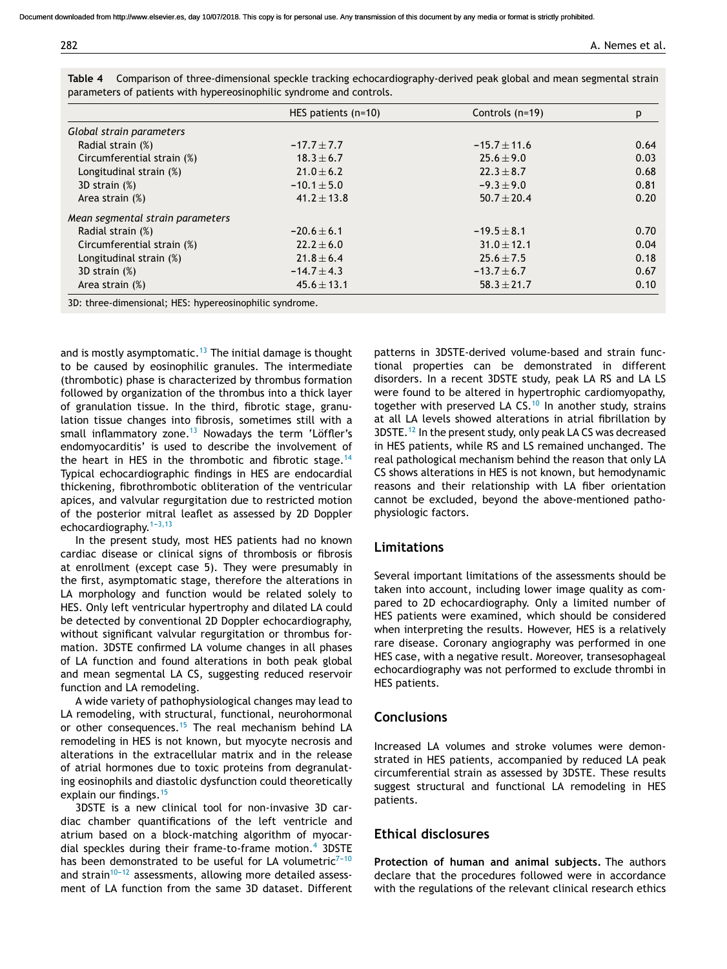|                                  | HES patients $(n=10)$ | Controls (n=19)  | p    |
|----------------------------------|-----------------------|------------------|------|
| Global strain parameters         |                       |                  |      |
| Radial strain (%)                | $-17.7 \pm 7.7$       | $-15.7 \pm 11.6$ | 0.64 |
| Circumferential strain (%)       | $18.3 \pm 6.7$        | $25.6 \pm 9.0$   | 0.03 |
| Longitudinal strain (%)          | $21.0 \pm 6.2$        | $22.3 \pm 8.7$   | 0.68 |
| 3D strain (%)                    | $-10.1 \pm 5.0$       | $-9.3 \pm 9.0$   | 0.81 |
| Area strain (%)                  | $41.2 \pm 13.8$       | $50.7 \pm 20.4$  | 0.20 |
| Mean segmental strain parameters |                       |                  |      |
| Radial strain (%)                | $-20.6 \pm 6.1$       | $-19.5 \pm 8.1$  | 0.70 |
| Circumferential strain (%)       | $22.2 + 6.0$          | $31.0 \pm 12.1$  | 0.04 |
| Longitudinal strain (%)          | $21.8 \pm 6.4$        | $25.6 \pm 7.5$   | 0.18 |
| 3D strain (%)                    | $-14.7 \pm 4.3$       | $-13.7 \pm 6.7$  | 0.67 |
| Area strain $(\%)$               | $45.6 \pm 13.1$       | $58.3 \pm 21.7$  | 0.10 |

| Table 4 Comparison of three-dimensional speckle tracking echocardiography-derived peak global and mean segmental strain |
|-------------------------------------------------------------------------------------------------------------------------|
| parameters of patients with hypereosinophilic syndrome and controls.                                                    |

3D: three-dimensional; HES: hypereosinophilic syndrome.

and is mostly asymptomatic.<sup>13</sup> The initial damage is thought to be caused by eosinophilic granules. The intermediate (thrombotic) phase is characterized by thrombus formation followed by organization of the thrombus into a thick layer of granulation tissue. In the third, fibrotic stage, granulation tissue changes into fibrosis, sometimes still with a small inflammatory zone. $13$  Nowadays the term 'Löffler's endomyocarditis' is used to describe the involvement of the heart in HES in the thrombotic and fibrotic stage.<sup>14</sup> Typical echocardiographic findings in HES are endocardial thickening, fibrothrombotic obliteration of the ventricular apices, and valvular regurgitation due to restricted motion of the posterior mitral leaflet as assessed by 2D Doppler echocardiography. $1-3,13$ 

In the present study, most HES patients had no known cardiac disease or clinical signs of thrombosis or fibrosis at enrollment (except case 5). They were presumably in the first, asymptomatic stage, therefore the alterations in LA morphology and function would be related solely to HES. Only left ventricular hypertrophy and dilated LA could be detected by conventional 2D Doppler echocardiography, without significant valvular regurgitation or thrombus formation. 3DSTE confirmed LA volume changes in all phases of LA function and found alterations in both peak global and mean segmental LA CS, suggesting reduced reservoir function and LA remodeling.

A wide variety of pathophysiological changes may lead to LA remodeling, with structural, functional, neurohormonal or other consequences.<sup>15</sup> The real mechanism behind LA remodeling in HES is not known, but myocyte necrosis and alterations in the extracellular matrix and in the release of atrial hormones due to toxic proteins from degranulating eosinophils and diastolic dysfunction could theoretically explain our findings.<sup>15</sup>

3DSTE is a new clinical tool for non-invasive 3D cardiac chamber quantifications of the left ventricle and atrium based on a block-matching algorithm of myocardial speckles during their frame-to-frame motion.<sup>4</sup> 3DSTE has been demonstrated to be useful for LA volumetric<sup>7-10</sup> and strain $10^{-12}$  assessments, allowing more detailed assessment of LA function from the same 3D dataset. Different

patterns in 3DSTE-derived volume-based and strain functional properties can be demonstrated in different disorders. In a recent 3DSTE study, peak LA RS and LA LS were found to be altered in hypertrophic cardiomyopathy, together with preserved LA CS.<sup>10</sup> In another study, strains at all LA levels showed alterations in atrial fibrillation by 3DSTE.<sup>12</sup> In the present study, only peak LA CS was decreased in HES patients, while RS and LS remained unchanged. The real pathological mechanism behind the reason that only LA CS shows alterations in HES is not known, but hemodynamic reasons and their relationship with LA fiber orientation cannot be excluded, beyond the above-mentioned pathophysiologic factors.

### **Limitations**

Several important limitations of the assessments should be taken into account, including lower image quality as compared to 2D echocardiography. Only a limited number of HES patients were examined, which should be considered when interpreting the results. However, HES is a relatively rare disease. Coronary angiography was performed in one HES case, with a negative result. Moreover, transesophageal echocardiography was not performed to exclude thrombi in HES patients.

## **Conclusions**

Increased LA volumes and stroke volumes were demonstrated in HES patients, accompanied by reduced LA peak circumferential strain as assessed by 3DSTE. These results suggest structural and functional LA remodeling in HES patients.

# **Ethical disclosures**

**Protection of human and animal subjects.** The authors declare that the procedures followed were in accordance with the regulations of the relevant clinical research ethics